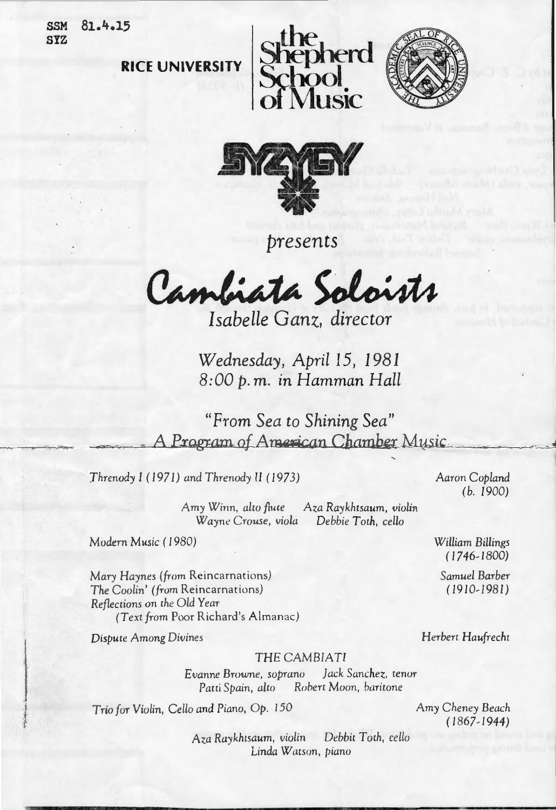SSM 81.4.15 SYZ







*presents* 

Cambiata Soloists

*Wednesday, April 15, 1981*  8:00 p.m. in Hamman Hall

*"From Sea to Shining Sea"*  A Program of American Chamber Music

*Threnody I (1971)* and *Threnody II (1973)* Aaron Copland

*Amy* Winn, *alw flute Aza Raykhtsaum,* violin Wayn~ *Crouse, viola Debbie Toth, cello* 

Modern *Music ( 1980)* 

*Mary Haynes (from* Reincarnations) *The* Coolin' *(from* Reincarnations) *Reflections* on *the Old Year (Text from* Poor Richard's Almanac)

*Dispute* Among Divines

(b. *1900)* 

*William* Billings *( 1746-1800)* 

> *Samuel Barber ( 1910-1981)*

*Herbert Haufrecht* 

THE CAMBIA *TI* 

*Evanne* Browne, soprano *Jack Sanchez, tenor Patti Spain, alto Rohen* Moon, *haritone* 

Trio *for* Violin, *Cello* and Piano, *Op. 150* 

*Amy Cheney Beach ( 1867-1944)* 

*Aza Raykhrsaum,* violin *Debbit T oth, cello*  Linda Warson, *piano*